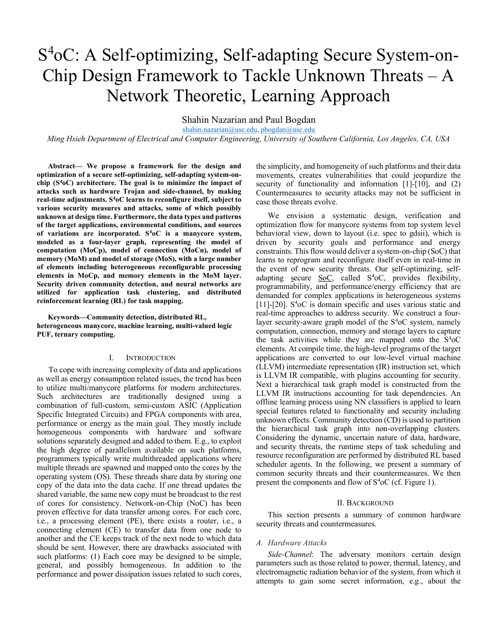# S 4oC: A Self-optimizing, Self-adapting Secure System-on-Chip Design Framework to Tackle Unknown Threats – A Network Theoretic, Learning Approach

Shahin Nazarian and Paul Bogdan

shahin.nazarian@usc.edu, pbogdan@usc.edu

Ming Hsieh Department of Electrical and Computer Engineering, University of Southern California, Los Angeles, CA, USA

Abstract— We propose a framework for the design and optimization of a secure self-optimizing, self-adapting system-onchip  $(S<sup>4</sup>oC)$  architecture. The goal is to minimize the impact of attacks such as hardware Trojan and side-channel, by making real-time adjustments.  $S<sup>4</sup>oC$  learns to reconfigure itself, subject to various security measures and attacks, some of which possibly unknown at design time. Furthermore, the data types and patterns of the target applications, environmental conditions, and sources of variations are incorporated.  $S<sup>4</sup>oC$  is a manycore system, modeled as a four-layer graph, representing the model of computation (MoCp), model of connection (MoCn), model of memory (MoM) and model of storage (MoS), with a large number of elements including heterogeneous reconfigurable processing elements in MoCp, and memory elements in the MoM layer. Security driven community detection, and neural networks are utilized for application task clustering, and distributed reinforcement learning (RL) for task mapping.

Keywords—Community detection, distributed RL, heterogeneous manycore, machine learning, multi-valued logic PUF, ternary computing.

## I. INTRODUCTION

To cope with increasing complexity of data and applications as well as energy consumption related issues, the trend has been to utilize multi/manycore platforms for modern architectures. Such architectures are traditionally designed using a combination of full-custom, semi-custom ASIC (Application Specific Integrated Circuits) and FPGA components with area, performance or energy as the main goal. They mostly include homogeneous components with hardware and software solutions separately designed and added to them. E.g., to exploit the high degree of parallelism available on such platforms, programmers typically write multithreaded applications where multiple threads are spawned and mapped onto the cores by the operating system (OS). These threads share data by storing one copy of the data into the data cache. If one thread updates the shared variable, the same new copy must be broadcast to the rest of cores for consistency. Network-on-Chip (NoC) has been proven effective for data transfer among cores. For each core, i.e., a processing element (PE), there exists a router, i.e., a connecting element (CE) to transfer data from one node to another and the CE keeps track of the next node to which data should be sent. However, there are drawbacks associated with such platforms: (1) Each core may be designed to be simple, general, and possibly homogeneous. In addition to the performance and power dissipation issues related to such cores,

the simplicity, and homogeneity of such platforms and their data movements, creates vulnerabilities that could jeopardize the security of functionality and information [1]-[10], and (2) Countermeasures to security attacks may not be sufficient in case those threats evolve.

We envision a systematic design, verification and optimization flow for manycore systems from top system level behavioral view, down to layout (i.e. spec to gdsii), which is driven by security goals and performance and energy constraints. This flow would deliver a system-on-chip (SoC) that learns to reprogram and reconfigure itself even in real-time in the event of new security threats. Our self-optimizing, selfadapting secure SoC, called  $S<sup>4</sup>oC$ , provides flexibility, programmability, and performance/energy efficiency that are demanded for complex applications in heterogeneous systems [11]-[20].  $S<sup>4</sup>oC$  is domain specific and uses various static and real-time approaches to address security. We construct a fourlayer security-aware graph model of the  $S<sup>4</sup>oC$  system, namely computation, connection, memory and storage layers to capture the task activities while they are mapped onto the  $S<sup>4</sup>oC$ elements. At compile time, the high-level programs of the target applications are converted to our low-level virtual machine (LLVM) intermediate representation (IR) instruction set, which is LLVM IR compatible, with plugins accounting for security. Next a hierarchical task graph model is constructed from the LLVM IR instructions accounting for task dependencies. An offline learning process using NN classifiers is applied to learn special features related to functionality and security including unknown effects. Community detection (CD) is used to partition the hierarchical task graph into non-overlapping clusters. Considering the dynamic, uncertain nature of data, hardware, and security threats, the runtime steps of task scheduling and resource reconfiguration are performed by distributed RL based scheduler agents. In the following, we present a summary of common security threats and their countermeasures. We then present the components and flow of  $S<sup>4</sup>oC$  (cf. Figure 1).

#### II. BACKGROUND

This section presents a summary of common hardware security threats and countermeasures.

## A. Hardware Attacks

Side-Channel: The adversary monitors certain design parameters such as those related to power, thermal, latency, and electromagnetic radiation behavior of the system, from which it attempts to gain some secret information, e.g., about the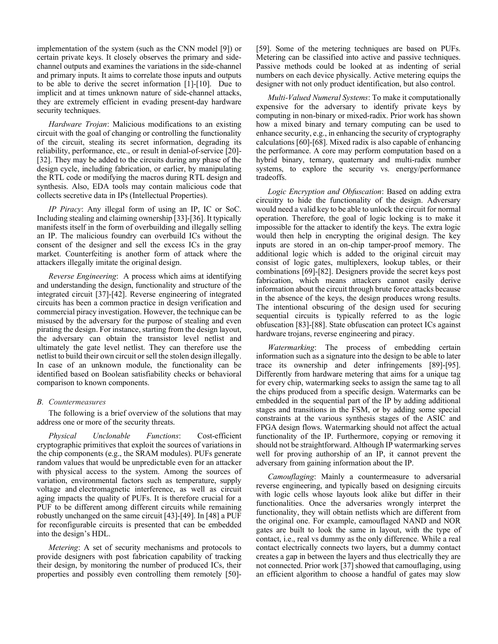implementation of the system (such as the CNN model [9]) or certain private keys. It closely observes the primary and sidechannel outputs and examines the variations in the side-channel and primary inputs. It aims to correlate those inputs and outputs to be able to derive the secret information [1]-[10]. Due to implicit and at times unknown nature of side-channel attacks, they are extremely efficient in evading present-day hardware security techniques.

Hardware Trojan: Malicious modifications to an existing circuit with the goal of changing or controlling the functionality of the circuit, stealing its secret information, degrading its reliability, performance, etc., or result in denial-of-service [20]- [32]. They may be added to the circuits during any phase of the design cycle, including fabrication, or earlier, by manipulating the RTL code or modifying the macros during RTL design and synthesis. Also, EDA tools may contain malicious code that collects secretive data in IPs (Intellectual Properties).

IP Piracy: Any illegal form of using an IP, IC or SoC. Including stealing and claiming ownership [33]-[36]. It typically manifests itself in the form of overbuilding and illegally selling an IP. The malicious foundry can overbuild ICs without the consent of the designer and sell the excess ICs in the gray market. Counterfeiting is another form of attack where the attackers illegally imitate the original design.

Reverse Engineering: A process which aims at identifying and understanding the design, functionality and structure of the integrated circuit [37]-[42]. Reverse engineering of integrated circuits has been a common practice in design verification and commercial piracy investigation. However, the technique can be misused by the adversary for the purpose of stealing and even pirating the design. For instance, starting from the design layout, the adversary can obtain the transistor level netlist and ultimately the gate level netlist. They can therefore use the netlist to build their own circuit or sell the stolen design illegally. In case of an unknown module, the functionality can be identified based on Boolean satisfiability checks or behavioral comparison to known components.

## B. Countermeasures

The following is a brief overview of the solutions that may address one or more of the security threats.

Physical Unclonable Functions: Cost-efficient cryptographic primitives that exploit the sources of variations in the chip components (e.g., the SRAM modules). PUFs generate random values that would be unpredictable even for an attacker with physical access to the system. Among the sources of variation, environmental factors such as temperature, supply voltage and electromagnetic interference, as well as circuit aging impacts the quality of PUFs. It is therefore crucial for a PUF to be different among different circuits while remaining robustly unchanged on the same circuit [43]-[49]. In [48] a PUF for reconfigurable circuits is presented that can be embedded into the design's HDL.

Metering: A set of security mechanisms and protocols to provide designers with post fabrication capability of tracking their design, by monitoring the number of produced ICs, their properties and possibly even controlling them remotely [50]-

[59]. Some of the metering techniques are based on PUFs. Metering can be classified into active and passive techniques. Passive methods could be looked at as indenting of serial numbers on each device physically. Active metering equips the designer with not only product identification, but also control.

Multi-Valued Numeral Systems: To make it computationally expensive for the adversary to identify private keys by computing in non-binary or mixed-radix. Prior work has shown how a mixed binary and ternary computing can be used to enhance security, e.g., in enhancing the security of cryptography calculations [60]-[68]. Mixed radix is also capable of enhancing the performance. A core may perform computation based on a hybrid binary, ternary, quaternary and multi-radix number systems, to explore the security vs. energy/performance tradeoffs.

Logic Encryption and Obfuscation: Based on adding extra circuitry to hide the functionality of the design. Adversary would need a valid key to be able to unlock the circuit for normal operation. Therefore, the goal of logic locking is to make it impossible for the attacker to identify the keys. The extra logic would then help in encrypting the original design. The key inputs are stored in an on-chip tamper-proof memory. The additional logic which is added to the original circuit may consist of logic gates, multiplexers, lookup tables, or their combinations [69]-[82]. Designers provide the secret keys post fabrication, which means attackers cannot easily derive information about the circuit through brute force attacks because in the absence of the keys, the design produces wrong results. The intentional obscuring of the design used for securing sequential circuits is typically referred to as the logic obfuscation [83]-[88]. State obfuscation can protect ICs against hardware trojans, reverse engineering and piracy.

Watermarking: The process of embedding certain information such as a signature into the design to be able to later trace its ownership and deter infringements [89]-[95]. Differently from hardware metering that aims for a unique tag for every chip, watermarking seeks to assign the same tag to all the chips produced from a specific design. Watermarks can be embedded in the sequential part of the IP by adding additional stages and transitions in the FSM, or by adding some special constraints at the various synthesis stages of the ASIC and FPGA design flows. Watermarking should not affect the actual functionality of the IP. Furthermore, copying or removing it should not be straightforward. Although IP watermarking serves well for proving authorship of an IP, it cannot prevent the adversary from gaining information about the IP.

Camouflaging: Mainly a countermeasure to adversarial reverse engineering, and typically based on designing circuits with logic cells whose layouts look alike but differ in their functionalities. Once the adversaries wrongly interpret the functionality, they will obtain netlists which are different from the original one. For example, camouflaged NAND and NOR gates are built to look the same in layout, with the type of contact, i.e., real vs dummy as the only difference. While a real contact electrically connects two layers, but a dummy contact creates a gap in between the layers and thus electrically they are not connected. Prior work [37] showed that camouflaging, using an efficient algorithm to choose a handful of gates may slow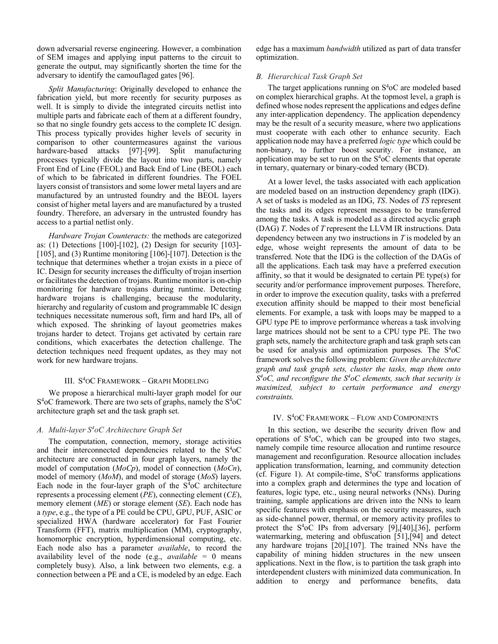down adversarial reverse engineering. However, a combination of SEM images and applying input patterns to the circuit to generate the output, may significantly shorten the time for the adversary to identify the camouflaged gates [96].

Split Manufacturing: Originally developed to enhance the fabrication yield, but more recently for security purposes as well. It is simply to divide the integrated circuits netlist into multiple parts and fabricate each of them at a different foundry, so that no single foundry gets access to the complete IC design. This process typically provides higher levels of security in comparison to other countermeasures against the various hardware-based attacks [97]-[99]. Split manufacturing processes typically divide the layout into two parts, namely Front End of Line (FEOL) and Back End of Line (BEOL) each of which to be fabricated in different foundries. The FOEL layers consist of transistors and some lower metal layers and are manufactured by an untrusted foundry and the BEOL layers consist of higher metal layers and are manufactured by a trusted foundry. Therefore, an adversary in the untrusted foundry has access to a partial netlist only.

Hardware Trojan Counteracts: the methods are categorized as: (1) Detections [100]-[102], (2) Design for security [103]- [105], and (3) Runtime monitoring [106]-[107]. Detection is the technique that determines whether a trojan exists in a piece of IC. Design for security increases the difficulty of trojan insertion or facilitates the detection of trojans. Runtime monitor is on-chip monitoring for hardware trojans during runtime. Detecting hardware trojans is challenging, because the modularity, hierarchy and regularity of custom and programmable IC design techniques necessitate numerous soft, firm and hard IPs, all of which exposed. The shrinking of layout geometries makes trojans harder to detect. Trojans get activated by certain rare conditions, which exacerbates the detection challenge. The detection techniques need frequent updates, as they may not work for new hardware trojans.

## III. S <sup>4</sup>OC FRAMEWORK – GRAPH MODELING

We propose a hierarchical multi-layer graph model for our S<sup>4</sup>oC framework. There are two sets of graphs, namely the S<sup>4</sup>oC architecture graph set and the task graph set.

### A. Multi-layer  $S^4$ oC Architecture Graph Set

The computation, connection, memory, storage activities and their interconnected dependencies related to the  $S<sup>4</sup>oC$ architecture are constructed in four graph layers, namely the model of computation  $(MoCp)$ , model of connection  $(MoCn)$ , model of memory (MoM), and model of storage (MoS) layers. Each node in the four-layer graph of the  $S<sup>4</sup>oC$  architecture represents a processing element  $(PE)$ , connecting element  $(CE)$ , memory element  $(ME)$  or storage element  $(SE)$ . Each node has a type, e.g., the type of a PE could be CPU, GPU, PUF, ASIC or specialized HWA (hardware accelerator) for Fast Fourier Transform (FFT), matrix multiplication (MM), cryptography, homomorphic encryption, hyperdimensional computing, etc. Each node also has a parameter available, to record the availability level of the node (e.g., *available* = 0 means completely busy). Also, a link between two elements, e.g. a connection between a PE and a CE, is modeled by an edge. Each

edge has a maximum bandwidth utilized as part of data transfer optimization.

#### B. Hierarchical Task Graph Set

The target applications running on  $S<sup>4</sup>oC$  are modeled based on complex hierarchical graphs. At the topmost level, a graph is defined whose nodes represent the applications and edges define any inter-application dependency. The application dependency may be the result of a security measure, where two applications must cooperate with each other to enhance security. Each application node may have a preferred *logic type* which could be non-binary, to further boost security. For instance, an application may be set to run on the  $S<sup>4</sup>oC$  elements that operate in ternary, quaternary or binary-coded ternary (BCD).

At a lower level, the tasks associated with each application are modeled based on an instruction dependency graph (IDG). A set of tasks is modeled as an IDG, TS. Nodes of TS represent the tasks and its edges represent messages to be transferred among the tasks. A task is modeled as a directed acyclic graph (DAG) T. Nodes of T represent the LLVM IR instructions. Data dependency between any two instructions in  $T$  is modeled by an edge, whose weight represents the amount of data to be transferred. Note that the IDG is the collection of the DAGs of all the applications. Each task may have a preferred execution affinity, so that it would be designated to certain PE type(s) for security and/or performance improvement purposes. Therefore, in order to improve the execution quality, tasks with a preferred execution affinity should be mapped to their most beneficial elements. For example, a task with loops may be mapped to a GPU type PE to improve performance whereas a task involving large matrices should not be sent to a CPU type PE. The two graph sets, namely the architecture graph and task graph sets can be used for analysis and optimization purposes. The  $S<sup>4</sup>oC$ framework solves the following problem: Given the architecture graph and task graph sets, cluster the tasks, map them onto  $S<sup>4</sup>oC$ , and reconfigure the  $S<sup>4</sup>oC$  elements, such that security is maximized, subject to certain performance and energy constraints.

## IV. S <sup>4</sup>OC FRAMEWORK – FLOW AND COMPONENTS

In this section, we describe the security driven flow and operations of  $S<sup>4</sup>oC$ , which can be grouped into two stages, namely compile time resource allocation and runtime resource management and reconfiguration. Resource allocation includes application transformation, learning, and community detection (cf. Figure 1). At compile-time,  $S<sup>4</sup>oC$  transforms applications into a complex graph and determines the type and location of features, logic type, etc., using neural networks (NNs). During training, sample applications are driven into the NNs to learn specific features with emphasis on the security measures, such as side-channel power, thermal, or memory activity profiles to protect the  $S<sup>4</sup>oC$  IPs from adversary [9],[40],[36], perform watermarking, metering and obfuscation [51],[94] and detect any hardware trojans [20],[107]. The trained NNs have the capability of mining hidden structures in the new unseen applications. Next in the flow, is to partition the task graph into interdependent clusters with minimized data communication. In addition to energy and performance benefits, data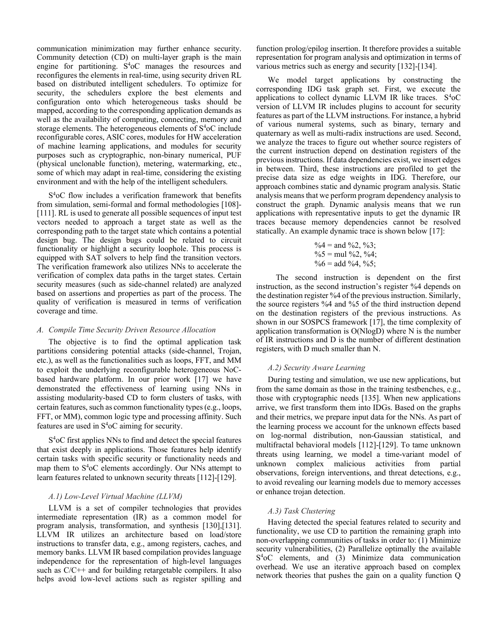communication minimization may further enhance security. Community detection (CD) on multi-layer graph is the main engine for partitioning.  $S<sup>4</sup>oC$  manages the resources and reconfigures the elements in real-time, using security driven RL based on distributed intelligent schedulers. To optimize for security, the schedulers explore the best elements and configuration onto which heterogeneous tasks should be mapped, according to the corresponding application demands as well as the availability of computing, connecting, memory and storage elements. The heterogeneous elements of  $S<sup>4</sup>oC$  include reconfigurable cores, ASIC cores, modules for HW acceleration of machine learning applications, and modules for security purposes such as cryptographic, non-binary numerical, PUF (physical unclonable function), metering, watermarking, etc., some of which may adapt in real-time, considering the existing environment and with the help of the intelligent schedulers.

S <sup>4</sup>oC flow includes a verification framework that benefits from simulation, semi-formal and formal methodologies [108]- [111]. RL is used to generate all possible sequences of input test vectors needed to approach a target state as well as the corresponding path to the target state which contains a potential design bug. The design bugs could be related to circuit functionality or highlight a security loophole. This process is equipped with SAT solvers to help find the transition vectors. The verification framework also utilizes NNs to accelerate the verification of complex data paths in the target states. Certain security measures (such as side-channel related) are analyzed based on assertions and properties as part of the process. The quality of verification is measured in terms of verification coverage and time.

## A. Compile Time Security Driven Resource Allocation

The objective is to find the optimal application task partitions considering potential attacks (side-channel, Trojan, etc.), as well as the functionalities such as loops, FFT, and MM to exploit the underlying reconfigurable heterogeneous NoCbased hardware platform. In our prior work [17] we have demonstrated the effectiveness of learning using NNs in assisting modularity-based CD to form clusters of tasks, with certain features, such as common functionality types (e.g., loops, FFT, or MM), common logic type and processing affinity. Such features are used in  $S<sup>4</sup>oC$  aiming for security.

S <sup>4</sup>oC first applies NNs to find and detect the special features that exist deeply in applications. Those features help identify certain tasks with specific security or functionality needs and map them to  $S<sup>4</sup>oC$  elements accordingly. Our NNs attempt to learn features related to unknown security threats [112]-[129].

# A.1) Low-Level Virtual Machine (LLVM)

LLVM is a set of compiler technologies that provides intermediate representation (IR) as a common model for program analysis, transformation, and synthesis [130],[131]. LLVM IR utilizes an architecture based on load/store instructions to transfer data, e.g., among registers, caches, and memory banks. LLVM IR based compilation provides language independence for the representation of high-level languages such as C/C++ and for building retargetable compilers. It also helps avoid low-level actions such as register spilling and

function prolog/epilog insertion. It therefore provides a suitable representation for program analysis and optimization in terms of various metrics such as energy and security [132]-[134].

We model target applications by constructing the corresponding IDG task graph set. First, we execute the applications to collect dynamic LLVM IR like traces.  $S<sup>4</sup>oC$ version of LLVM IR includes plugins to account for security features as part of the LLVM instructions. For instance, a hybrid of various numeral systems, such as binary, ternary and quaternary as well as multi-radix instructions are used. Second, we analyze the traces to figure out whether source registers of the current instruction depend on destination registers of the previous instructions. If data dependencies exist, we insert edges in between. Third, these instructions are profiled to get the precise data size as edge weights in IDG. Therefore, our approach combines static and dynamic program analysis. Static analysis means that we perform program dependency analysis to construct the graph. Dynamic analysis means that we run applications with representative inputs to get the dynamic IR traces because memory dependencies cannot be resolved statically. An example dynamic trace is shown below [17]:

$$
\%4 = \text{and } \%2, \%3;
$$
  
\n
$$
\%5 = \text{mul } \%2, \%4;
$$
  
\n
$$
\%6 = \text{add } \%4, \%5;
$$

 The second instruction is dependent on the first instruction, as the second instruction's register %4 depends on the destination register %4 of the previous instruction. Similarly, the source registers %4 and %5 of the third instruction depend on the destination registers of the previous instructions. As shown in our SOSPCS framework [17], the time complexity of application transformation is O(NlogD) where N is the number of IR instructions and D is the number of different destination registers, with D much smaller than N.

# A.2) Security Aware Learning

During testing and simulation, we use new applications, but from the same domain as those in the training testbenches, e.g., those with cryptographic needs [135]. When new applications arrive, we first transform them into IDGs. Based on the graphs and their metrics, we prepare input data for the NNs. As part of the learning process we account for the unknown effects based on log-normal distribution, non-Gaussian statistical, and multifractal behavioral models [112]-[129]. To tame unknown threats using learning, we model a time-variant model of unknown complex malicious activities from partial observations, foreign interventions, and threat detections, e.g., to avoid revealing our learning models due to memory accesses or enhance trojan detection.

# A.3) Task Clustering

Having detected the special features related to security and functionality, we use CD to partition the remaining graph into non-overlapping communities of tasks in order to: (1) Minimize security vulnerabilities, (2) Parallelize optimally the available S <sup>4</sup>oC elements, and (3) Minimize data communication overhead. We use an iterative approach based on complex network theories that pushes the gain on a quality function Q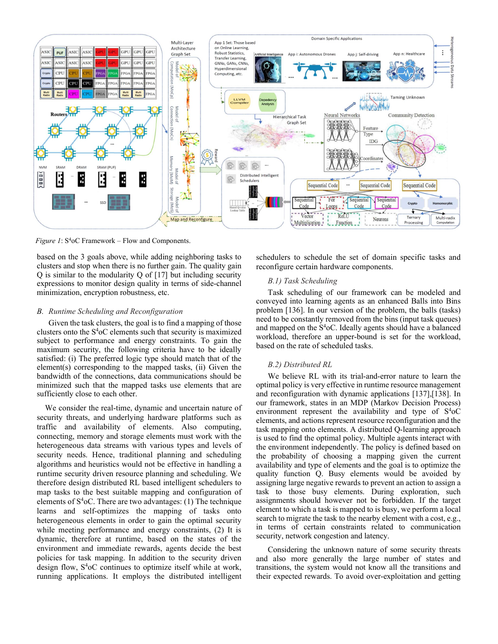

Figure 1:  $S<sup>4</sup>oC$  Framework – Flow and Components.

based on the 3 goals above, while adding neighboring tasks to clusters and stop when there is no further gain. The quality gain Q is similar to the modularity Q of [17] but including security expressions to monitor design quality in terms of side-channel minimization, encryption robustness, etc.

#### B. Runtime Scheduling and Reconfiguration

Given the task clusters, the goal is to find a mapping of those clusters onto the S<sup>4</sup>oC elements such that security is maximized subject to performance and energy constraints. To gain the maximum security, the following criteria have to be ideally satisfied: (i) The preferred logic type should match that of the element(s) corresponding to the mapped tasks, (ii) Given the bandwidth of the connections, data communications should be minimized such that the mapped tasks use elements that are sufficiently close to each other.

 We consider the real-time, dynamic and uncertain nature of security threats, and underlying hardware platforms such as traffic and availability of elements. Also computing, connecting, memory and storage elements must work with the heterogeneous data streams with various types and levels of security needs. Hence, traditional planning and scheduling algorithms and heuristics would not be effective in handling a runtime security driven resource planning and scheduling. We therefore design distributed RL based intelligent schedulers to map tasks to the best suitable mapping and configuration of elements of  $S<sup>4</sup>oC$ . There are two advantages: (1) The technique learns and self-optimizes the mapping of tasks onto heterogeneous elements in order to gain the optimal security while meeting performance and energy constraints, (2) It is dynamic, therefore at runtime, based on the states of the environment and immediate rewards, agents decide the best policies for task mapping. In addition to the security driven design flow, S<sup>4</sup>oC continues to optimize itself while at work, running applications. It employs the distributed intelligent

schedulers to schedule the set of domain specific tasks and reconfigure certain hardware components.

# B.1) Task Scheduling

Task scheduling of our framework can be modeled and conveyed into learning agents as an enhanced Balls into Bins problem [136]. In our version of the problem, the balls (tasks) need to be constantly removed from the bins (input task queues) and mapped on the  $S<sup>4</sup>oC$ . Ideally agents should have a balanced workload, therefore an upper-bound is set for the workload, based on the rate of scheduled tasks.

## B.2) Distributed RL

We believe RL with its trial-and-error nature to learn the optimal policy is very effective in runtime resource management and reconfiguration with dynamic applications [137],[138]. In our framework, states in an MDP (Markov Decision Process) environment represent the availability and type of  $S<sup>4</sup>oC$ elements, and actions represent resource reconfiguration and the task mapping onto elements. A distributed Q-learning approach is used to find the optimal policy. Multiple agents interact with the environment independently. The policy is defined based on the probability of choosing a mapping given the current availability and type of elements and the goal is to optimize the quality function Q. Busy elements would be avoided by assigning large negative rewards to prevent an action to assign a task to those busy elements. During exploration, such assignments should however not be forbidden. If the target element to which a task is mapped to is busy, we perform a local search to migrate the task to the nearby element with a cost, e.g., in terms of certain constraints related to communication security, network congestion and latency.

Considering the unknown nature of some security threats and also more generally the large number of states and transitions, the system would not know all the transitions and their expected rewards. To avoid over-exploitation and getting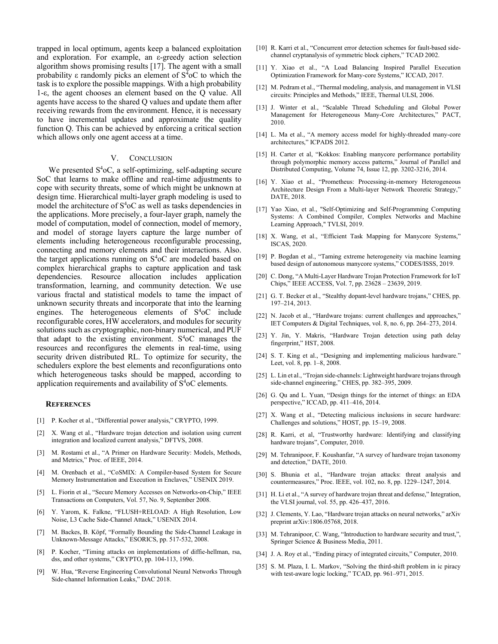trapped in local optimum, agents keep a balanced exploitation and exploration. For example, an ε-greedy action selection algorithm shows promising results [17]. The agent with a small probability ε randomly picks an element of  $S^{\bar{4}}$ oC to which the task is to explore the possible mappings. With a high probability 1-ε, the agent chooses an element based on the Q value. All agents have access to the shared Q values and update them after receiving rewards from the environment. Hence, it is necessary to have incremental updates and approximate the quality function Q. This can be achieved by enforcing a critical section which allows only one agent access at a time.

## V. CONCLUSION

We presented  $S<sup>4</sup>oC$ , a self-optimizing, self-adapting secure SoC that learns to make offline and real-time adjustments to cope with security threats, some of which might be unknown at design time. Hierarchical multi-layer graph modeling is used to model the architecture of  $S<sup>4</sup>oC$  as well as tasks dependencies in the applications. More precisely, a four-layer graph, namely the model of computation, model of connection, model of memory, and model of storage layers capture the large number of elements including heterogeneous reconfigurable processing, connecting and memory elements and their interactions. Also. the target applications running on  $S<sup>4</sup>oC$  are modeled based on complex hierarchical graphs to capture application and task dependencies. Resource allocation includes application transformation, learning, and community detection. We use various fractal and statistical models to tame the impact of unknown security threats and incorporate that into the learning engines. The heterogeneous elements of S<sup>4</sup>oC include reconfigurable cores, HW accelerators, and modules for security solutions such as cryptographic, non-binary numerical, and PUF that adapt to the existing environment.  $S<sup>4</sup>oC$  manages the resources and reconfigures the elements in real-time, using security driven distributed RL. To optimize for security, the schedulers explore the best elements and reconfigurations onto which heterogeneous tasks should be mapped, according to application requirements and availability of  $S<sup>4</sup>oC$  elements.

#### **REFERENCES**

- [1] P. Kocher et al., "Differential power analysis," CRYPTO, 1999.
- [2] X. Wang et al., "Hardware trojan detection and isolation using current integration and localized current analysis," DFTVS, 2008.
- [3] M. Rostami et al., "A Primer on Hardware Security: Models, Methods, and Metrics," Proc. of IEEE, 2014.
- [4] M. Orenbach et al., "CoSMIX: A Compiler-based System for Secure Memory Instrumentation and Execution in Enclaves," USENIX 2019.
- [5] L. Fiorin et al., "Secure Memory Accesses on Networks-on-Chip," IEEE Transactions on Computers, Vol. 57, No. 9, September 2008.
- [6] Y. Yarom, K. Falkne, "FLUSH+RELOAD: A High Resolution, Low Noise, L3 Cache Side-Channel Attack," USENIX 2014.
- [7] M. Backes, B. Köpf, "Formally Bounding the Side-Channel Leakage in Unknown-Message Attacks," ESORICS, pp. 517-532, 2008.
- [8] P. Kocher, "Timing attacks on implementations of diffie-hellman, rsa, dss, and other systems," CRYPTO, pp. 104-113, 1996.
- [9] W. Hua, "Reverse Engineering Convolutional Neural Networks Through Side-channel Information Leaks," DAC 2018.
- [10] R. Karri et al., "Concurrent error detection schemes for fault-based sidechannel cryptanalysis of symmetric block ciphers," TCAD 2002.
- [11] Y. Xiao et al., "A Load Balancing Inspired Parallel Execution Optimization Framework for Many-core Systems," ICCAD, 2017.
- [12] M. Pedram et al., "Thermal modeling, analysis, and management in VLSI circuits: Principles and Methods," IEEE, Thermal ULSI, 2006.
- [13] J. Winter et al., "Scalable Thread Scheduling and Global Power Management for Heterogeneous Many-Core Architectures," PACT, 2010.
- [14] L. Ma et al., "A memory access model for highly-threaded many-core architectures," ICPADS 2012.
- [15] H. Carter et al, "Kokkos: Enabling manycore performance portability through polymorphic memory access patterns," Journal of Parallel and Distributed Computing, Volume 74, Issue 12, pp. 3202-3216, 2014.
- [16] Y. Xiao et al., "Prometheus: Processing-in-memory Heterogeneous Architecture Design From a Multi-layer Network Theoretic Strategy," DATE, 2018.
- [17] Yao Xiao, et al., "Self-Optimizing and Self-Programming Computing Systems: A Combined Compiler, Complex Networks and Machine Learning Approach," TVLSI, 2019.
- [18] X. Wang, et al., "Efficient Task Mapping for Manycore Systems," ISCAS, 2020.
- [19] P. Bogdan et al., "Taming extreme heterogeneity via machine learning based design of autonomous manycore systems," CODES/ISSS, 2019.
- [20] C. Dong, "A Multi-Layer Hardware Trojan Protection Framework for IoT Chips," IEEE ACCESS, Vol. 7, pp. 23628 – 23639, 2019.
- [21] G. T. Becker et al., "Stealthy dopant-level hardware trojans," CHES, pp. 197–214, 2013.
- [22] N. Jacob et al., "Hardware trojans: current challenges and approaches," IET Computers & Digital Techniques, vol. 8, no. 6, pp. 264–273, 2014.
- [23] Y. Jin, Y. Makris, "Hardware Trojan detection using path delay fingerprint," HST, 2008.
- [24] S. T. King et al., "Designing and implementing malicious hardware." Leet, vol. 8, pp. 1–8, 2008.
- [25] L. Lin et al., "Trojan side-channels: Lightweight hardware trojans through side-channel engineering," CHES, pp. 382–395, 2009.
- [26] G. Qu and L. Yuan, "Design things for the internet of things: an EDA perspective," ICCAD, pp. 411–416, 2014.
- [27] X. Wang et al., "Detecting malicious inclusions in secure hardware: Challenges and solutions," HOST, pp. 15–19, 2008.
- [28] R. Karri, et al, "Trustworthy hardware: Identifying and classifying hardware trojans", Computer, 2010.
- [29] M. Tehranipoor, F. Koushanfar, "A survey of hardware trojan taxonomy and detection," DATE, 2010.
- [30] S. Bhunia et al., "Hardware trojan attacks: threat analysis and countermeasures," Proc. IEEE, vol. 102, no. 8, pp. 1229–1247, 2014.
- [31] H. Li et al., "A survey of hardware trojan threat and defense," Integration, the VLSI journal, vol. 55, pp. 426–437, 2016.
- [32] J. Clements, Y. Lao, "Hardware trojan attacks on neural networks," arXiv preprint arXiv:1806.05768, 2018.
- [33] M. Tehranipoor, C. Wang, "Introduction to hardware security and trust,", Springer Science & Business Media, 2011.
- [34] J. A. Roy et al., "Ending piracy of integrated circuits," Computer, 2010.
- [35] S. M. Plaza, I. L. Markov, "Solving the third-shift problem in ic piracy with test-aware logic locking," TCAD, pp. 961–971, 2015.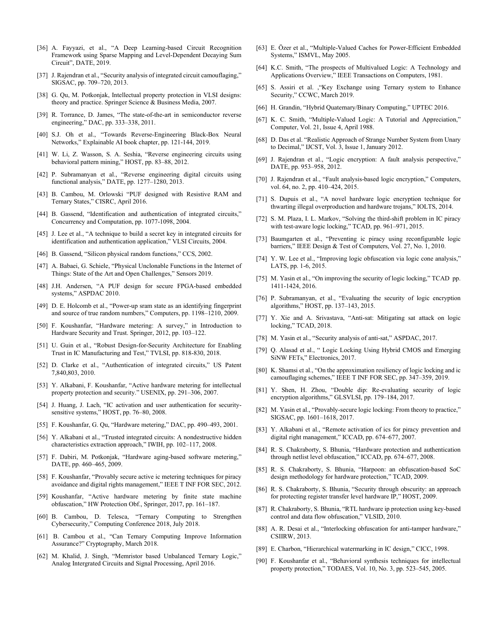- [36] A. Fayyazi, et al., "A Deep Learning-based Circuit Recognition Framework using Sparse Mapping and Level-Dependent Decaying Sum Circuit", DATE, 2019.
- [37] J. Rajendran et al., "Security analysis of integrated circuit camouflaging," SIGSAC, pp. 709–720, 2013.
- [38] G. Qu, M. Potkonjak, Intellectual property protection in VLSI designs: theory and practice. Springer Science & Business Media, 2007.
- [39] R. Torrance, D. James, "The state-of-the-art in semiconductor reverse engineering," DAC, pp. 333–338, 2011.
- [40] S.J. Oh et al., "Towards Reverse-Engineering Black-Box Neural Networks," Explainable AI book chapter, pp. 121-144, 2019.
- [41] W. Li, Z. Wasson, S. A. Seshia, "Reverse engineering circuits using behavioral pattern mining," HOST, pp. 83–88, 2012.
- [42] P. Subramanyan et al., "Reverse engineering digital circuits using functional analysis," DATE, pp. 1277–1280, 2013.
- [43] B. Cambou, M. Orlowski "PUF designed with Resistive RAM and Ternary States," CISRC, April 2016.
- [44] B. Gassend, "Identification and authentication of integrated circuits," Concurrency and Computation, pp. 1077-1098, 2004.
- [45] J. Lee et al., "A technique to build a secret key in integrated circuits for identification and authentication application," VLSI Circuits, 2004.
- [46] B. Gassend, "Silicon physical random functions," CCS, 2002.
- [47] A. Babaei, G. Schiele, "Physical Unclonable Functions in the Internet of Things: State of the Art and Open Challenges," Sensors 2019.
- [48] J.H. Andersen, "A PUF design for secure FPGA-based embedded systems," ASPDAC 2010.
- [49] D. E. Holcomb et al., "Power-up sram state as an identifying fingerprint and source of true random numbers," Computers, pp. 1198–1210, 2009.
- [50] F. Koushanfar, "Hardware metering: A survey," in Introduction to Hardware Security and Trust. Springer, 2012, pp. 103–122.
- [51] U. Guin et al., "Robust Design-for-Security Architecture for Enabling Trust in IC Manufacturing and Test," TVLSI, pp. 818-830, 2018.
- [52] D. Clarke et al., "Authentication of integrated circuits," US Patent 7,840,803, 2010.
- [53] Y. Alkabani, F. Koushanfar, "Active hardware metering for intellectual property protection and security." USENIX, pp. 291–306, 2007.
- [54] J. Huang, J. Lach, "IC activation and user authentication for securitysensitive systems," HOST, pp. 76-80, 2008.
- [55] F. Koushanfar, G. Qu, "Hardware metering," DAC, pp. 490–493, 2001.
- [56] Y. Alkabani et al., "Trusted integrated circuits: A nondestructive hidden characteristics extraction approach," IWIH, pp. 102–117, 2008.
- [57] F. Dabiri, M. Potkonjak, "Hardware aging-based software metering," DATE, pp. 460–465, 2009.
- [58] F. Koushanfar, "Provably secure active ic metering techniques for piracy avoidance and digital rights management," IEEE T INF FOR SEC, 2012.
- [59] Koushanfar, "Active hardware metering by finite state machine obfuscation," HW Protection Obf., Springer, 2017, pp. 161–187.
- [60] B. Cambou, D. Telesca, "Ternary Computing to Strengthen Cybersecurity," Computing Conference 2018, July 2018.
- [61] B. Cambou et al., "Can Ternary Computing Improve Information Assurance?" Cryptography, March 2018.
- [62] M. Khalid, J. Singh, "Memristor based Unbalanced Ternary Logic," Analog Intergrated Circuits and Signal Processing, April 2016.
- [63] E. Özer et al., "Multiple-Valued Caches for Power-Efficient Embedded Systems," ISMVL, May 2005.
- [64] K.C. Smith, "The prospects of Multivalued Logic: A Technology and Applications Overview," IEEE Transactions on Computers, 1981.
- [65] S. Assiri et al. ,"Key Exchange using Ternary system to Enhance Security," CCWC, March 2019.
- [66] H. Grandin, "Hybrid Quaternary/Binary Computing," UPTEC 2016.
- [67] K. C. Smith, "Multiple-Valued Logic: A Tutorial and Appreciation," Computer, Vol. 21, Issue 4, April 1988.
- [68] D. Das et al. "Realistic Approach of Strange Number System from Unary to Decimal," IJCST, Vol. 3, Issue 1, January 2012.
- [69] J. Rajendran et al., "Logic encryption: A fault analysis perspective," DATE, pp. 953–958, 2012.
- [70] J. Rajendran et al., "Fault analysis-based logic encryption," Computers, vol. 64, no. 2, pp. 410–424, 2015.
- [71] S. Dupuis et al., "A novel hardware logic encryption technique for thwarting illegal overproduction and hardware trojans," IOLTS, 2014.
- [72] S. M. Plaza, I. L. Markov, "Solving the third-shift problem in IC piracy with test-aware logic locking," TCAD, pp. 961–971, 2015.
- [73] Baumgarten et al., "Preventing ic piracy using reconfigurable logic barriers," IEEE Design & Test of Computers, Vol. 27, No. 1, 2010.
- [74] Y. W. Lee et al., "Improving logic obfuscation via logic cone analysis," LATS, pp. 1-6, 2015.
- [75] M. Yasin et al., "On improving the security of logic locking," TCAD pp. 1411-1424, 2016.
- [76] P. Subramanyan, et al., "Evaluating the security of logic encryption algorithms," HOST, pp. 137–143, 2015.
- [77] Y. Xie and A. Srivastava, "Anti-sat: Mitigating sat attack on logic locking," TCAD, 2018.
- [78] M. Yasin et al., "Security analysis of anti-sat," ASPDAC, 2017.
- [79] Q. Alasad et al., " Logic Locking Using Hybrid CMOS and Emerging SiNW FETs," Electronics, 2017.
- [80] K. Shamsi et al., "On the approximation resiliency of logic locking and ic camouflaging schemes," IEEE T INF FOR SEC, pp. 347–359, 2019.
- [81] Y. Shen, H. Zhou, "Double dip: Re-evaluating security of logic encryption algorithms," GLSVLSI, pp. 179–184, 2017.
- [82] M. Yasin et al., "Provably-secure logic locking: From theory to practice," SIGSAC, pp. 1601–1618, 2017.
- [83] Y. Alkabani et al., "Remote activation of ics for piracy prevention and digital right management," ICCAD, pp. 674–677, 2007.
- [84] R. S. Chakraborty, S. Bhunia, "Hardware protection and authentication through netlist level obfuscation," ICCAD, pp. 674–677, 2008.
- [85] R. S. Chakraborty, S. Bhunia, "Harpoon: an obfuscation-based SoC design methodology for hardware protection," TCAD, 2009.
- [86] R. S. Chakraborty, S. Bhunia, "Security through obscurity: an approach for protecting register transfer level hardware IP," HOST, 2009.
- [87] R. Chakraborty, S. Bhunia, "RTL hardware ip protection using key-based control and data flow obfuscation," VLSID, 2010.
- [88] A. R. Desai et al., "Interlocking obfuscation for anti-tamper hardware," CSIIRW, 2013.
- [89] E. Charbon, "Hierarchical watermarking in IC design," CICC, 1998.
- [90] F. Koushanfar et al., "Behavioral synthesis techniques for intellectual property protection," TODAES, Vol. 10, No. 3, pp. 523–545, 2005.